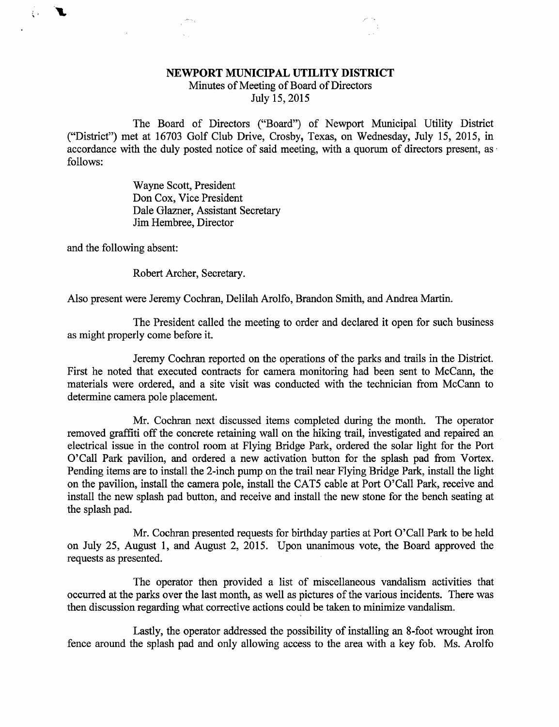## NEWPORT MUNICIPAL UTILITY DISTRICT

Minutes of Meeting of Board of Directors July 15, 2015

The Board of Directors ("Board") of Newport Municipal Utility District ("District") met at 16703 Golf Club Drive, Crosby, Texas, on Wednesday, July 15, 2015, in accordance with the duly posted notice of said meeting, with a quorum of directors present, as follows:

> Wayne Scott, President Don Cox, Vice President Dale Glazner, Assistant Secretary Jim Hembree, Director

and the following absent:

 $\langle \cdot \rangle$ 

Robert Archer, Secretary.

Also present were Jeremy Cochran, Delilah Arolfo, Brandon Smith, and Andrea Martin.

The President called the meeting to order and declared it open for such business as might properly come before it.

Jeremy Cochran reported on the operations of the parks and trails in the District. First he noted that executed contracts for camera monitoring had been sent to McCann, the materials were ordered, and a site visit was conducted with the technician from McCann to determine camera pole placement.

Mr. Cochran next discussed items completed during the month. The operator removed graffiti off the concrete retaining wall on the hiking trail, investigated and repaired an electrical issue in the control room at Flying Bridge Park, ordered the solar light for the Port O'Call Park pavilion, and ordered a new activation button for the splash pad from Vortex. Pending items are to install the 2-inch pump on the trail near Flying Bridge Park, install the light on the pavilion, install the camera pole, install the CATS cable at Port O'Call Park, receive and install the new splash pad button, and receive and install the new stone for the bench seating at the splash pad.

Mr. Cochran presented requests for birthday parties at Port O'Call Park to be held on July 25, August 1, and August 2, 2015. Upon unanimous vote, the Board approved the requests as presented.

The operator then provided a list of miscellaneous vandalism activities that occurred at the parks over the last month, as well as pictures of the various incidents. There was then discussion regarding what corrective actions could be taken to minimize vandalism.

Lastly, the operator addressed the possibility of installing an 8-foot wrought iron fence around the splash pad and only allowing access to the area with a key fob. Ms. Arolfo